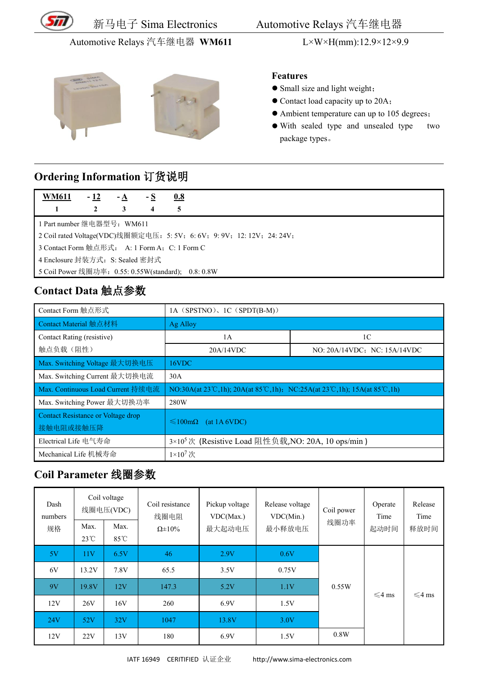

新马电子 Sima Electronics Automotive Relays 汽车继电器

#### Automotive Relays 汽车继电器 **WM611** L×W×H(mm):12.9×12×9.9





#### **Features**

- Small size and light weight;
- Contact load capacity up to 20A;
- Ambient temperature can up to 105 degrees;
- With sealed type and unsealed type two package types。

### **Ordering Information** 订货说明

| <b>WM611</b>                                                            | - 12 | - A | - S | 0.8 |  |
|-------------------------------------------------------------------------|------|-----|-----|-----|--|
|                                                                         | 2    | 3   | 4   | 5   |  |
| ┃1 Part number 继电器型号: WM611                                             |      |     |     |     |  |
| 2 Coil rated Voltage(VDC)线圈额定电压: 5: 5V; 6: 6V; 9: 9V; 12: 12V; 24: 24V; |      |     |     |     |  |
| 3 Contact Form 触点形式: A: 1 Form A; C: 1 Form C                           |      |     |     |     |  |
| 4 Enclosure 封装方式: S: Sealed 密封式                                         |      |     |     |     |  |
| 5 Coil Power 线圈功率: 0.55: 0.55W(standard); 0.8: 0.8W                     |      |     |     |     |  |

#### **Contact Data** 触点参数

| Contact Form 触点形式                  | 1A (SPSTNO), 1C (SPDT(B-M))                                              |                              |  |  |  |  |
|------------------------------------|--------------------------------------------------------------------------|------------------------------|--|--|--|--|
| Contact Material 触点材料              | Ag Alloy                                                                 |                              |  |  |  |  |
| Contact Rating (resistive)         | 1A                                                                       | 1C                           |  |  |  |  |
| 触点负载(阻性)                           | 20A/14VDC                                                                | NO: 20A/14VDC: NC: 15A/14VDC |  |  |  |  |
| Max. Switching Voltage 最大切换电压      | 16VDC                                                                    |                              |  |  |  |  |
| Max. Switching Current 最大切换电流      | 30A                                                                      |                              |  |  |  |  |
| Max. Continuous Load Current 持续电流  | NO:30A(at 23°C,1h); 20A(at 85°C,1h); NC:25A(at 23°C,1h); 15A(at 85°C,1h) |                              |  |  |  |  |
| Max. Switching Power 最大切换功率        | 280W                                                                     |                              |  |  |  |  |
| Contact Resistance or Voltage drop | $\leq 100 \text{m}\Omega$ (at 1A 6VDC)                                   |                              |  |  |  |  |
| 接触电阻或接触压降                          |                                                                          |                              |  |  |  |  |
| Electrical Life 电气寿命               | 3×10 <sup>5</sup> 次 (Resistive Load 阻性负载, NO: 20A, 10 ops/min)           |                              |  |  |  |  |
| Mechanical Life 机械寿命               | $1\times10^7$ 次                                                          |                              |  |  |  |  |

# **Coil Parameter** 线圈参数

| Dash<br>numbers<br>规格 | Max.<br>$23^{\circ}$ C | Coil voltage<br>线圈电压(VDC)<br>Max.<br>$85^{\circ}$ C | Coil resistance<br>线圈电阻<br>$\Omega \pm 10\%$ | Pickup voltage<br>VDC(Max.)<br>最大起动电压 | Release voltage<br>VDC(Min.)<br>最小释放电压 | Coil power<br>线圈功率 | Operate<br>Time<br>起动时间 | Release<br>Time<br>释放时间 |
|-----------------------|------------------------|-----------------------------------------------------|----------------------------------------------|---------------------------------------|----------------------------------------|--------------------|-------------------------|-------------------------|
| 5V                    | 11V                    | 6.5V                                                | 46                                           | 2.9V                                  | 0.6V                                   |                    |                         |                         |
| 6V                    | 13.2V                  | 7.8V                                                | 65.5                                         | 3.5V                                  | 0.75V                                  |                    |                         |                         |
| 9V                    | 19.8V                  | 12V                                                 | 147.3                                        | 5.2V                                  | 1.1V                                   | 0.55W              | $\leq 4$ ms             | $\leq 4$ ms             |
| 12V                   | 26V                    | 16V                                                 | 260                                          | 6.9V                                  | 1.5V                                   |                    |                         |                         |
| <b>24V</b>            | 52V                    | 32V                                                 | 1047                                         | 13.8V                                 | 3.0V                                   |                    |                         |                         |
| 12V                   | 22V                    | 13V                                                 | 180                                          | 6.9V                                  | 1.5V                                   | 0.8W               |                         |                         |